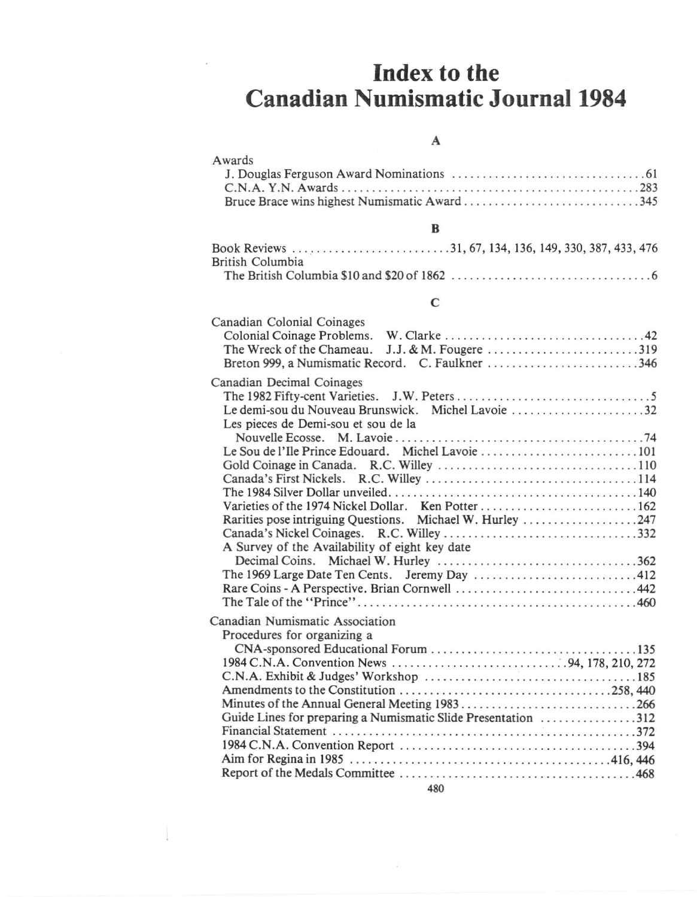# **Index to the Canadian Numismatic Journal 1984**

### A

| Awards             |
|--------------------|
|                    |
| C.N.A. Y.N. Awards |
|                    |
|                    |

#### $\, {\bf B}$

| British Columbia |  |  |  |  |  |
|------------------|--|--|--|--|--|
|                  |  |  |  |  |  |

#### $\mathbf C$

| Canadian Colonial Coinages<br>The Wreck of the Chameau. J.J. & M. Fougere 319                                                                                                                                      |
|--------------------------------------------------------------------------------------------------------------------------------------------------------------------------------------------------------------------|
| Canadian Decimal Coinages<br>Le demi-sou du Nouveau Brunswick. Michel Lavoie 32<br>Les pieces de Demi-sou et sou de la<br>Le Sou de l'Ile Prince Edouard. Michel Lavoie 101                                        |
| Varieties of the 1974 Nickel Dollar. Ken Potter162<br>Rarities pose intriguing Questions. Michael W. Hurley 247<br>A Survey of the Availability of eight key date<br>The 1969 Large Date Ten Cents. Jeremy Day 412 |
| Canadian Numismatic Association<br>Procedures for organizing a<br>Guide Lines for preparing a Numismatic Slide Presentation 312                                                                                    |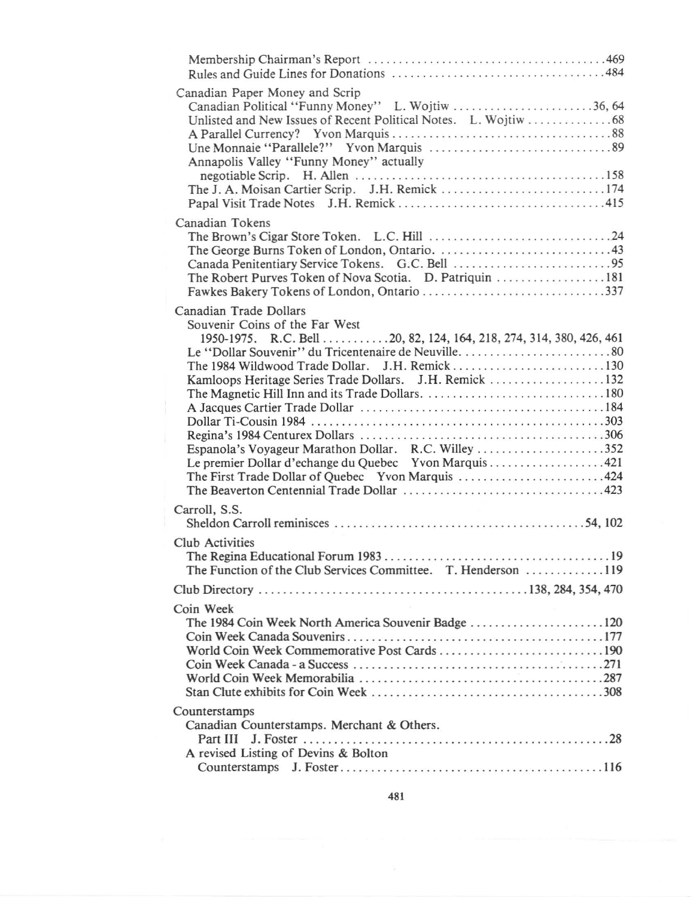| Canadian Paper Money and Scrip<br>Canadian Political "Funny Money" L. Wojtiw 36, 64<br>Annapolis Valley "Funny Money" actually<br>The J. A. Moisan Cartier Scrip. J.H. Remick 174                                                                                                                             |
|---------------------------------------------------------------------------------------------------------------------------------------------------------------------------------------------------------------------------------------------------------------------------------------------------------------|
| Canadian Tokens<br>The Robert Purves Token of Nova Scotia. D. Patriquin 181<br>Fawkes Bakery Tokens of London, Ontario 337                                                                                                                                                                                    |
| Canadian Trade Dollars<br>Souvenir Coins of the Far West<br>1950-1975. R.C. Bell 20, 82, 124, 164, 218, 274, 314, 380, 426, 461<br>Kamloops Heritage Series Trade Dollars. J.H. Remick 132<br>Espanola's Voyageur Marathon Dollar. R.C. Willey 352<br>Le premier Dollar d'echange du Quebec Yvon Marquis  421 |
| Carroll, S.S.                                                                                                                                                                                                                                                                                                 |
| Club Activities<br>The Function of the Club Services Committee. T. Henderson 119                                                                                                                                                                                                                              |
|                                                                                                                                                                                                                                                                                                               |
| Coin Week<br>World Coin Week Commemorative Post Cards 190                                                                                                                                                                                                                                                     |
| Counterstamps<br>Canadian Counterstamps. Merchant & Others.<br>A revised Listing of Devins & Bolton                                                                                                                                                                                                           |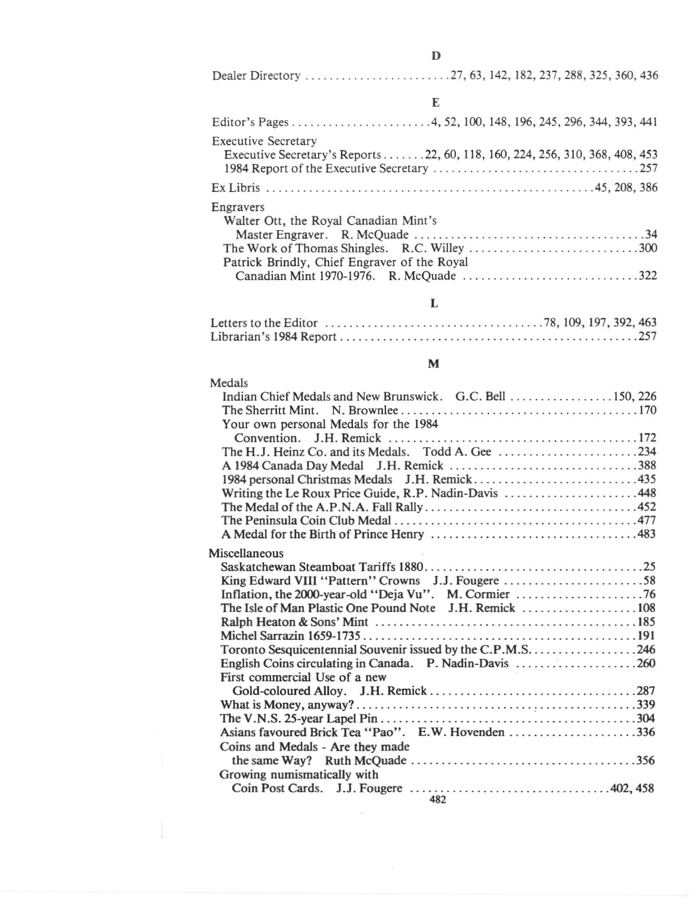| E                                                                                                          |
|------------------------------------------------------------------------------------------------------------|
|                                                                                                            |
| <b>Executive Secretary</b><br>Executive Secretary's Reports 22, 60, 118, 160, 224, 256, 310, 368, 408, 453 |
|                                                                                                            |
| Engravers<br>Walter Ott, the Royal Canadian Mint's                                                         |
|                                                                                                            |
| Patrick Brindly, Chief Engraver of the Royal                                                               |
|                                                                                                            |
|                                                                                                            |

## L

## M

| Medals                                                  |
|---------------------------------------------------------|
|                                                         |
|                                                         |
| Your own personal Medals for the 1984                   |
|                                                         |
|                                                         |
|                                                         |
|                                                         |
| Writing the Le Roux Price Guide, R.P. Nadin-Davis 448   |
|                                                         |
|                                                         |
|                                                         |
| Miscellaneous                                           |
|                                                         |
| King Edward VIII "Pattern" Crowns J.J. Fougere 58       |
|                                                         |
|                                                         |
|                                                         |
|                                                         |
|                                                         |
| English Coins circulating in Canada. P. Nadin-Davis 260 |
| First commercial Use of a new                           |
|                                                         |
|                                                         |
|                                                         |
| Asians favoured Brick Tea "Pao". E.W. Hovenden 336      |
| Coins and Medals - Are they made                        |
|                                                         |
| Growing numismatically with                             |
| $\overline{100}$                                        |
|                                                         |

### 482

 $\bar{\alpha}$